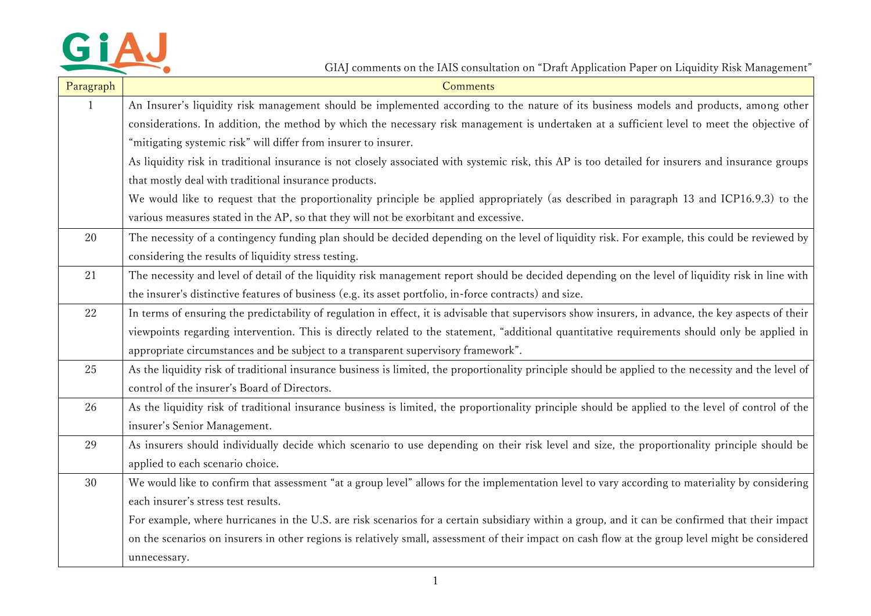

GIAJ comments on the IAIS consultation on "Draft Application Paper on Liquidity Risk Management"

| Paragraph    | Comments                                                                                                                                              |
|--------------|-------------------------------------------------------------------------------------------------------------------------------------------------------|
| $\mathbf{1}$ | An Insurer's liquidity risk management should be implemented according to the nature of its business models and products, among other                 |
|              | considerations. In addition, the method by which the necessary risk management is undertaken at a sufficient level to meet the objective of           |
|              | "mitigating systemic risk" will differ from insurer to insurer.                                                                                       |
|              | As liquidity risk in traditional insurance is not closely associated with systemic risk, this AP is too detailed for insurers and insurance groups    |
|              | that mostly deal with traditional insurance products.                                                                                                 |
|              | We would like to request that the proportionality principle be applied appropriately (as described in paragraph 13 and ICP16.9.3) to the              |
|              | various measures stated in the AP, so that they will not be exorbitant and excessive.                                                                 |
| 20           | The necessity of a contingency funding plan should be decided depending on the level of liquidity risk. For example, this could be reviewed by        |
|              | considering the results of liquidity stress testing.                                                                                                  |
| 21           | The necessity and level of detail of the liquidity risk management report should be decided depending on the level of liquidity risk in line with     |
|              | the insurer's distinctive features of business (e.g. its asset portfolio, in-force contracts) and size.                                               |
| 22           | In terms of ensuring the predictability of regulation in effect, it is advisable that supervisors show insurers, in advance, the key aspects of their |
|              | viewpoints regarding intervention. This is directly related to the statement, "additional quantitative requirements should only be applied in         |
|              | appropriate circumstances and be subject to a transparent supervisory framework".                                                                     |
| 25           | As the liquidity risk of traditional insurance business is limited, the proportionality principle should be applied to the necessity and the level of |
|              | control of the insurer's Board of Directors.                                                                                                          |
| 26           | As the liquidity risk of traditional insurance business is limited, the proportionality principle should be applied to the level of control of the    |
|              | insurer's Senior Management.                                                                                                                          |
| 29           | As insurers should individually decide which scenario to use depending on their risk level and size, the proportionality principle should be          |
|              | applied to each scenario choice.                                                                                                                      |
| 30           | We would like to confirm that assessment "at a group level" allows for the implementation level to vary according to materiality by considering       |
|              | each insurer's stress test results.                                                                                                                   |
|              | For example, where hurricanes in the U.S. are risk scenarios for a certain subsidiary within a group, and it can be confirmed that their impact       |
|              | on the scenarios on insurers in other regions is relatively small, assessment of their impact on cash flow at the group level might be considered     |
|              | unnecessary.                                                                                                                                          |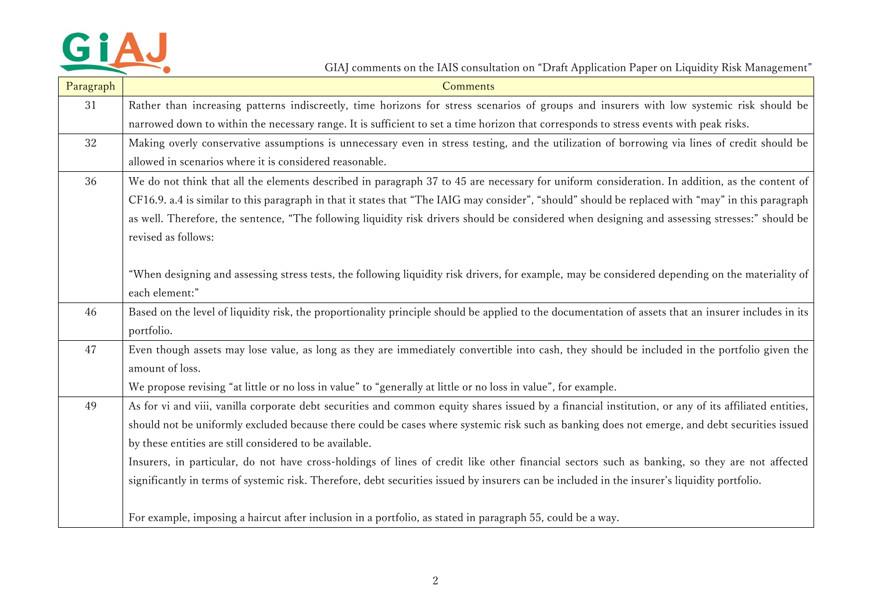

## GIAJ comments on the IAIS consultation on "Draft Application Paper on Liquidity Risk Management"

| Paragraph | Comments                                                                                                                                             |
|-----------|------------------------------------------------------------------------------------------------------------------------------------------------------|
| 31        | Rather than increasing patterns indiscreetly, time horizons for stress scenarios of groups and insurers with low systemic risk should be             |
|           | narrowed down to within the necessary range. It is sufficient to set a time horizon that corresponds to stress events with peak risks.               |
| 32        | Making overly conservative assumptions is unnecessary even in stress testing, and the utilization of borrowing via lines of credit should be         |
|           | allowed in scenarios where it is considered reasonable.                                                                                              |
| 36        | We do not think that all the elements described in paragraph 37 to 45 are necessary for uniform consideration. In addition, as the content of        |
|           | CF16.9. a.4 is similar to this paragraph in that it states that "The IAIG may consider", "should" should be replaced with "may" in this paragraph    |
|           | as well. Therefore, the sentence, "The following liquidity risk drivers should be considered when designing and assessing stresses:" should be       |
|           | revised as follows:                                                                                                                                  |
|           |                                                                                                                                                      |
|           | "When designing and assessing stress tests, the following liquidity risk drivers, for example, may be considered depending on the materiality of     |
|           | each element:"                                                                                                                                       |
| 46        | Based on the level of liquidity risk, the proportionality principle should be applied to the documentation of assets that an insurer includes in its |
|           | portfolio.                                                                                                                                           |
| 47        | Even though assets may lose value, as long as they are immediately convertible into cash, they should be included in the portfolio given the         |
|           | amount of loss.                                                                                                                                      |
|           | We propose revising "at little or no loss in value" to "generally at little or no loss in value", for example.                                       |
| 49        | As for vi and viii, vanilla corporate debt securities and common equity shares issued by a financial institution, or any of its affiliated entities, |
|           | should not be uniformly excluded because there could be cases where systemic risk such as banking does not emerge, and debt securities issued        |
|           | by these entities are still considered to be available.                                                                                              |
|           | Insurers, in particular, do not have cross-holdings of lines of credit like other financial sectors such as banking, so they are not affected        |
|           | significantly in terms of systemic risk. Therefore, debt securities issued by insurers can be included in the insurer's liquidity portfolio.         |
|           |                                                                                                                                                      |
|           | For example, imposing a haircut after inclusion in a portfolio, as stated in paragraph 55, could be a way.                                           |